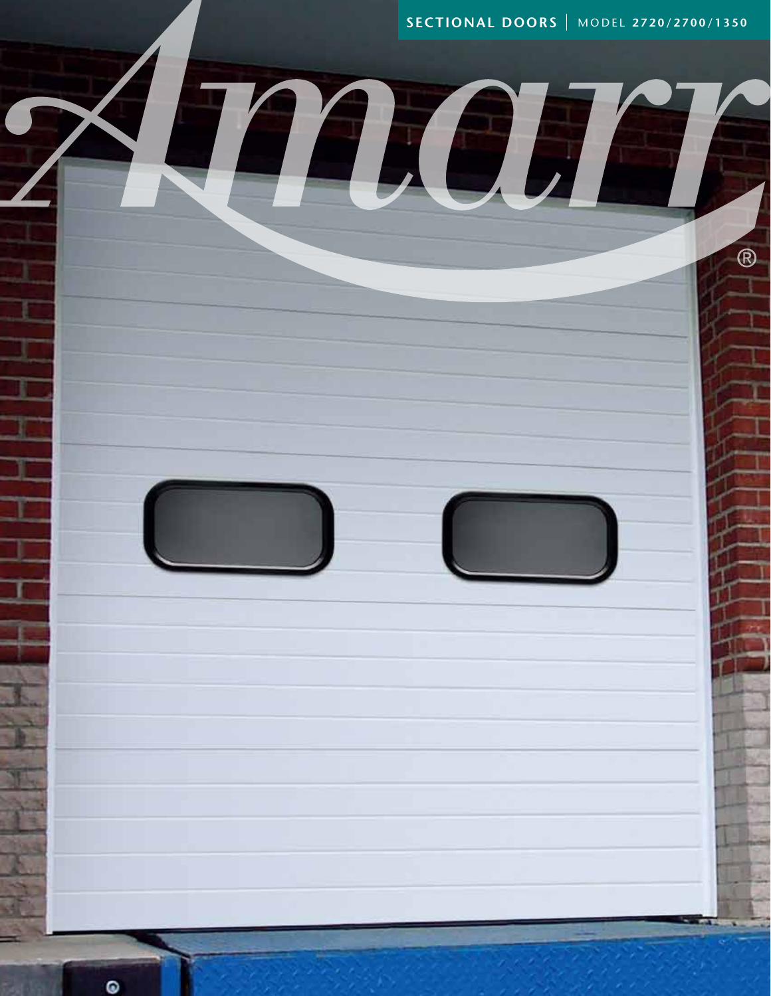